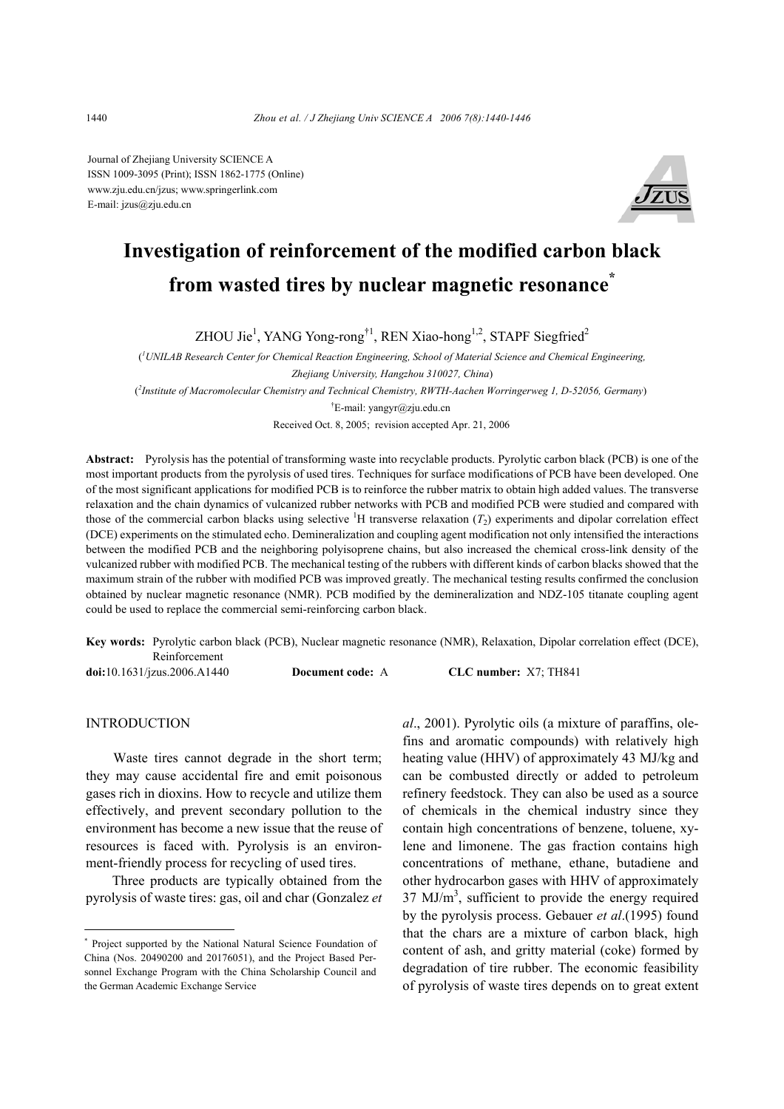Journal of Zhejiang University SCIENCE A ISSN 1009-3095 (Print); ISSN 1862-1775 (Online) www.zju.edu.cn/jzus; www.springerlink.com E-mail: jzus@zju.edu.cn



# **Investigation of reinforcement of the modified carbon black from wasted tires by nuclear magnetic resonance\***

ZHOU Jie<sup>1</sup>, YANG Yong-rong<sup>†1</sup>, REN Xiao-hong<sup>1,2</sup>, STAPF Siegfried<sup>2</sup>

( *1 UNILAB Research Center for Chemical Reaction Engineering, School of Material Science and Chemical Engineering, Zhejiang University, Hangzhou 310027, China*) ( *2 Institute of Macromolecular Chemistry and Technical Chemistry, RWTH-Aachen Worringerweg 1, D-52056, Germany*) † E-mail: yangyr@zju.edu.cn

Received Oct. 8, 2005; revision accepted Apr. 21, 2006

**Abstract:** Pyrolysis has the potential of transforming waste into recyclable products. Pyrolytic carbon black (PCB) is one of the most important products from the pyrolysis of used tires. Techniques for surface modifications of PCB have been developed. One of the most significant applications for modified PCB is to reinforce the rubber matrix to obtain high added values. The transverse relaxation and the chain dynamics of vulcanized rubber networks with PCB and modified PCB were studied and compared with those of the commercial carbon blacks using selective  ${}^{1}H$  transverse relaxation  $(T_2)$  experiments and dipolar correlation effect (DCE) experiments on the stimulated echo. Demineralization and coupling agent modification not only intensified the interactions between the modified PCB and the neighboring polyisoprene chains, but also increased the chemical cross-link density of the vulcanized rubber with modified PCB. The mechanical testing of the rubbers with different kinds of carbon blacks showed that the maximum strain of the rubber with modified PCB was improved greatly. The mechanical testing results confirmed the conclusion obtained by nuclear magnetic resonance (NMR). PCB modified by the demineralization and NDZ-105 titanate coupling agent could be used to replace the commercial semi-reinforcing carbon black.

**Key words:** Pyrolytic carbon black (PCB), Nuclear magnetic resonance (NMR), Relaxation, Dipolar correlation effect (DCE), Reinforcement

**doi:**10.1631/jzus.2006.A1440 **Document code:** A **CLC number:** X7; TH841

INTRODUCTION

Waste tires cannot degrade in the short term; they may cause accidental fire and emit poisonous gases rich in dioxins. How to recycle and utilize them effectively, and prevent secondary pollution to the environment has become a new issue that the reuse of resources is faced with. Pyrolysis is an environment-friendly process for recycling of used tires.

Three products are typically obtained from the pyrolysis of waste tires: gas, oil and char (Gonzalez *et*  *al*., 2001). Pyrolytic oils (a mixture of paraffins, olefins and aromatic compounds) with relatively high heating value (HHV) of approximately 43 MJ/kg and can be combusted directly or added to petroleum refinery feedstock. They can also be used as a source of chemicals in the chemical industry since they contain high concentrations of benzene, toluene, xylene and limonene. The gas fraction contains high concentrations of methane, ethane, butadiene and other hydrocarbon gases with HHV of approximately  $37 \text{ MJ/m}^3$ , sufficient to provide the energy required by the pyrolysis process. Gebauer *et al*.(1995) found that the chars are a mixture of carbon black, high content of ash, and gritty material (coke) formed by degradation of tire rubber. The economic feasibility of pyrolysis of waste tires depends on to great extent

<sup>\*</sup> Project supported by the National Natural Science Foundation of China (Nos. 20490200 and 20176051), and the Project Based Personnel Exchange Program with the China Scholarship Council and the German Academic Exchange Service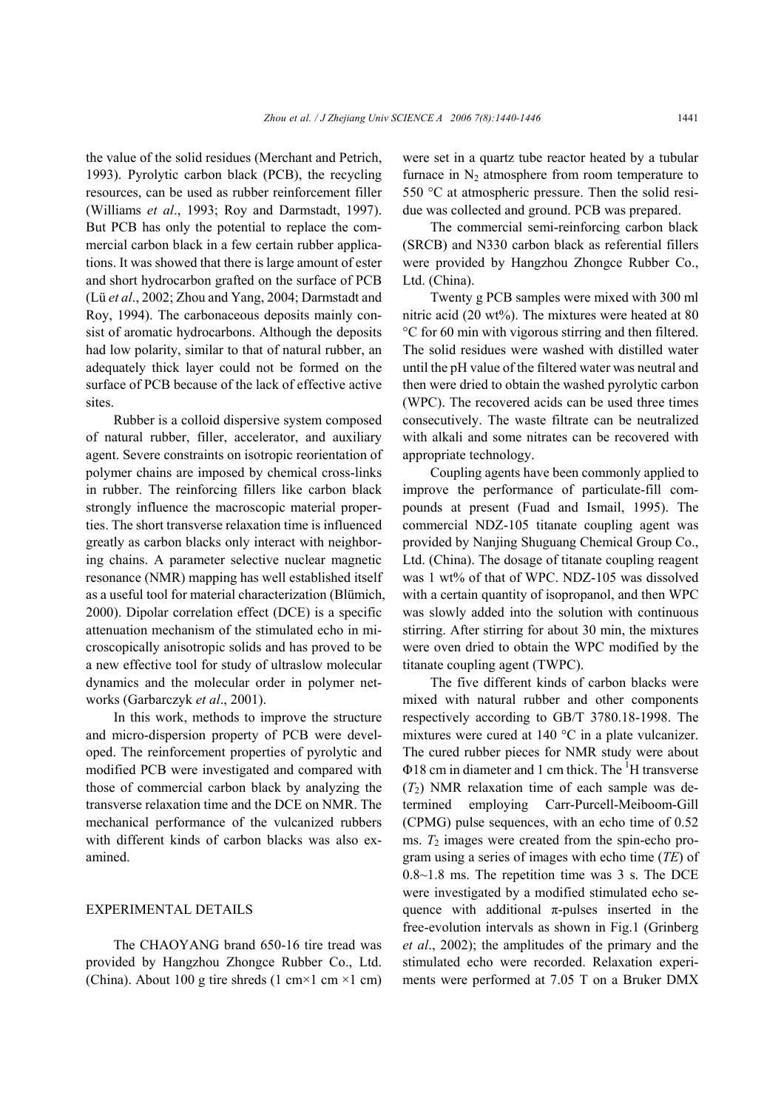the value of the solid residues (Merchant and Petrich, 1993). Pyrolytic carbon black (PCB), the recycling resources, can be used as rubber reinforcement filler (Williams *et al*., 1993; Roy and Darmstadt, 1997). But PCB has only the potential to replace the commercial carbon black in a few certain rubber applications. It was showed that there is large amount of ester and short hydrocarbon grafted on the surface of PCB (Lü *et al*., 2002; Zhou and Yang, 2004; Darmstadt and Roy, 1994). The carbonaceous deposits mainly consist of aromatic hydrocarbons. Although the deposits had low polarity, similar to that of natural rubber, an adequately thick layer could not be formed on the surface of PCB because of the lack of effective active sites.

Rubber is a colloid dispersive system composed of natural rubber, filler, accelerator, and auxiliary agent. Severe constraints on isotropic reorientation of polymer chains are imposed by chemical cross-links in rubber. The reinforcing fillers like carbon black strongly influence the macroscopic material properties. The short transverse relaxation time is influenced greatly as carbon blacks only interact with neighboring chains. A parameter selective nuclear magnetic resonance (NMR) mapping has well established itself as a useful tool for material characterization (Blümich, 2000). Dipolar correlation effect (DCE) is a specific attenuation mechanism of the stimulated echo in microscopically anisotropic solids and has proved to be a new effective tool for study of ultraslow molecular dynamics and the molecular order in polymer networks (Garbarczyk *et al*., 2001).

In this work, methods to improve the structure and micro-dispersion property of PCB were developed. The reinforcement properties of pyrolytic and modified PCB were investigated and compared with those of commercial carbon black by analyzing the transverse relaxation time and the DCE on NMR. The mechanical performance of the vulcanized rubbers with different kinds of carbon blacks was also examined.

## EXPERIMENTAL DETAILS

The CHAOYANG brand 650-16 tire tread was provided by Hangzhou Zhongce Rubber Co., Ltd. (China). About 100 g tire shreds (1 cm×1 cm ×1 cm) were set in a quartz tube reactor heated by a tubular furnace in  $N_2$  atmosphere from room temperature to 550 °C at atmospheric pressure. Then the solid residue was collected and ground. PCB was prepared.

The commercial semi-reinforcing carbon black (SRCB) and N330 carbon black as referential fillers were provided by Hangzhou Zhongce Rubber Co., Ltd. (China).

Twenty g PCB samples were mixed with 300 ml nitric acid (20 wt%). The mixtures were heated at 80 °C for 60 min with vigorous stirring and then filtered. The solid residues were washed with distilled water until the pH value of the filtered water was neutral and then were dried to obtain the washed pyrolytic carbon (WPC). The recovered acids can be used three times consecutively. The waste filtrate can be neutralized with alkali and some nitrates can be recovered with appropriate technology.

Coupling agents have been commonly applied to improve the performance of particulate-fill compounds at present (Fuad and Ismail, 1995). The commercial NDZ-105 titanate coupling agent was provided by Nanjing Shuguang Chemical Group Co., Ltd. (China). The dosage of titanate coupling reagent was 1 wt% of that of WPC. NDZ-105 was dissolved with a certain quantity of isopropanol, and then WPC was slowly added into the solution with continuous stirring. After stirring for about 30 min, the mixtures were oven dried to obtain the WPC modified by the titanate coupling agent (TWPC).

The five different kinds of carbon blacks were mixed with natural rubber and other components respectively according to GB/T 3780.18-1998. The mixtures were cured at 140 °C in a plate vulcanizer. The cured rubber pieces for NMR study were about  $\Phi$ 18 cm in diameter and 1 cm thick. The  $\mathrm{^{1}H}$  transverse  $(T<sub>2</sub>)$  NMR relaxation time of each sample was determined employing Carr-Purcell-Meiboom-Gill (CPMG) pulse sequences, with an echo time of 0.52 ms.  $T_2$  images were created from the spin-echo program using a series of images with echo time (*TE*) of 0.8~1.8 ms. The repetition time was 3 s. The DCE were investigated by a modified stimulated echo sequence with additional  $\pi$ -pulses inserted in the free-evolution intervals as shown in Fig.1 (Grinberg *et al*., 2002); the amplitudes of the primary and the stimulated echo were recorded. Relaxation experiments were performed at 7.05 T on a Bruker DMX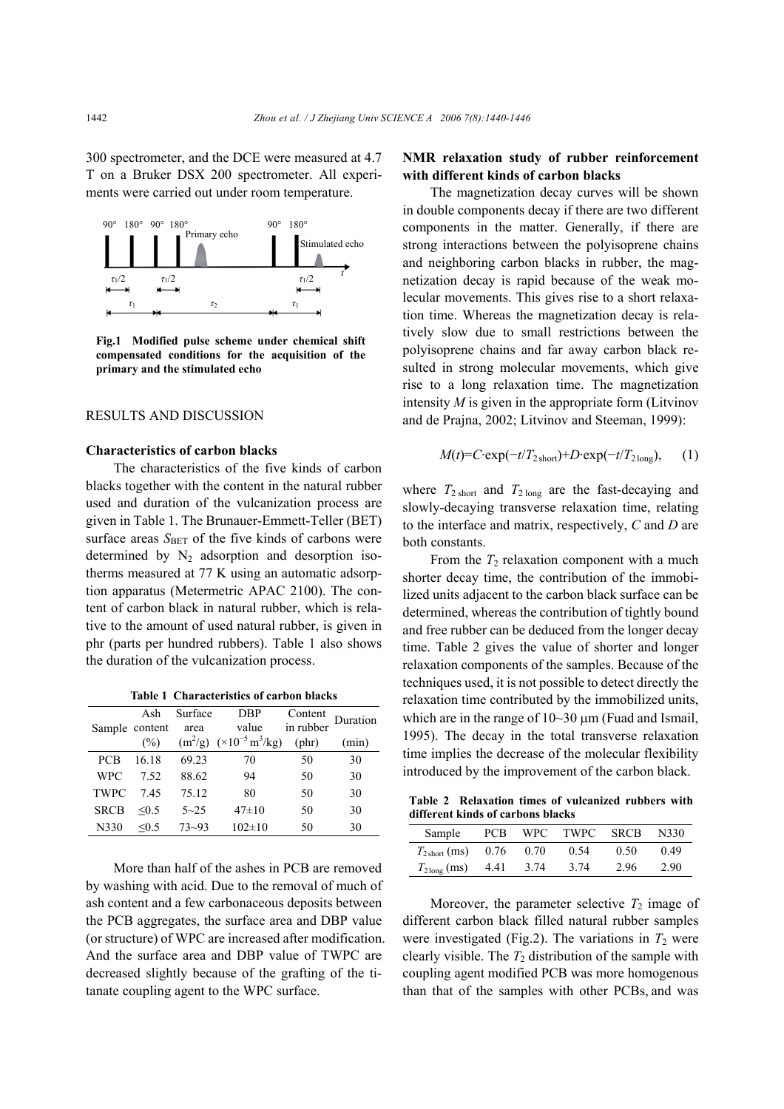300 spectrometer, and the DCE were measured at 4.7 T on a Bruker DSX 200 spectrometer. All experiments were carried out under room temperature.



**Fig.1 Modified pulse scheme under chemical shift compensated conditions for the acquisition of the primary and the stimulated echo** 

## RESULTS AND DISCUSSION

#### **Characteristics of carbon blacks**

The characteristics of the five kinds of carbon blacks together with the content in the natural rubber used and duration of the vulcanization process are given in Table 1. The Brunauer-Emmett-Teller (BET) surface areas S<sub>BET</sub> of the five kinds of carbons were determined by  $N_2$  adsorption and desorption isotherms measured at 77 K using an automatic adsorption apparatus (Metermetric APAC 2100). The content of carbon black in natural rubber, which is relative to the amount of used natural rubber, is given in phr (parts per hundred rubbers). Table 1 also shows the duration of the vulcanization process.

**Table 1 Characteristics of carbon blacks** 

|             | Ash            | Surface   | <b>DBP</b>                                         | Content<br>in rubber | Duration |
|-------------|----------------|-----------|----------------------------------------------------|----------------------|----------|
|             | Sample content | area      | value                                              |                      |          |
|             | (%)            |           | $(m^2/g)$ $(\times 10^{-5} \text{ m}^3/\text{kg})$ | $(\text{phr})$       | (min)    |
| <b>PCB</b>  | 16 18          | 69.23     | 70                                                 | 50                   | 30       |
| <b>WPC</b>  | 7.52           | 88.62     | 94                                                 | 50                   | 30       |
| <b>TWPC</b> | 745            | 75.12     | 80                                                 | 50                   | 30       |
| <b>SRCB</b> | $\leq 0.5$     | $5 - 25$  | $47\pm10$                                          | 50                   | 30       |
| N330        | $\leq 0.5$     | $73 - 93$ | $102 \pm 10$                                       | 50                   | 30       |

More than half of the ashes in PCB are removed by washing with acid. Due to the removal of much of ash content and a few carbonaceous deposits between the PCB aggregates, the surface area and DBP value (or structure) of WPC are increased after modification. And the surface area and DBP value of TWPC are decreased slightly because of the grafting of the titanate coupling agent to the WPC surface.

## **NMR relaxation study of rubber reinforcement with different kinds of carbon blacks**

The magnetization decay curves will be shown in double components decay if there are two different components in the matter. Generally, if there are strong interactions between the polyisoprene chains and neighboring carbon blacks in rubber, the magnetization decay is rapid because of the weak molecular movements. This gives rise to a short relaxation time. Whereas the magnetization decay is relatively slow due to small restrictions between the polyisoprene chains and far away carbon black resulted in strong molecular movements, which give rise to a long relaxation time. The magnetization intensity *M* is given in the appropriate form (Litvinov and de Prajna, 2002; Litvinov and Steeman, 1999):

$$
M(t) = C \cdot \exp(-t/T_{2\text{ short}}) + D \cdot \exp(-t/T_{2\text{ long}}), \quad (1)
$$

where  $T_{2 \text{ short}}$  and  $T_{2 \text{ long}}$  are the fast-decaying and slowly-decaying transverse relaxation time, relating to the interface and matrix, respectively, *C* and *D* are both constants.

From the  $T_2$  relaxation component with a much shorter decay time, the contribution of the immobilized units adjacent to the carbon black surface can be determined, whereas the contribution of tightly bound and free rubber can be deduced from the longer decay time. Table 2 gives the value of shorter and longer relaxation components of the samples. Because of the techniques used, it is not possible to detect directly the relaxation time contributed by the immobilized units, which are in the range of 10~30 µm (Fuad and Ismail, 1995). The decay in the total transverse relaxation time implies the decrease of the molecular flexibility introduced by the improvement of the carbon black.

**Table 2 Relaxation times of vulcanized rubbers with different kinds of carbons blacks** 

| Sample                       |      |      | PCB WPC TWPC SRCB |      | N330 |
|------------------------------|------|------|-------------------|------|------|
| $T_{2\text{ short}}$ (ms)    | 0.76 | 0.70 | 0.54              | 0.50 | 0.49 |
| $T_{2\text{long}}$ (ms) 4.41 |      | 3.74 | 3.74              | 2.96 | 2.90 |

Moreover, the parameter selective  $T_2$  image of different carbon black filled natural rubber samples were investigated (Fig.2). The variations in  $T_2$  were clearly visible. The  $T_2$  distribution of the sample with coupling agent modified PCB was more homogenous than that of the samples with other PCBs, and was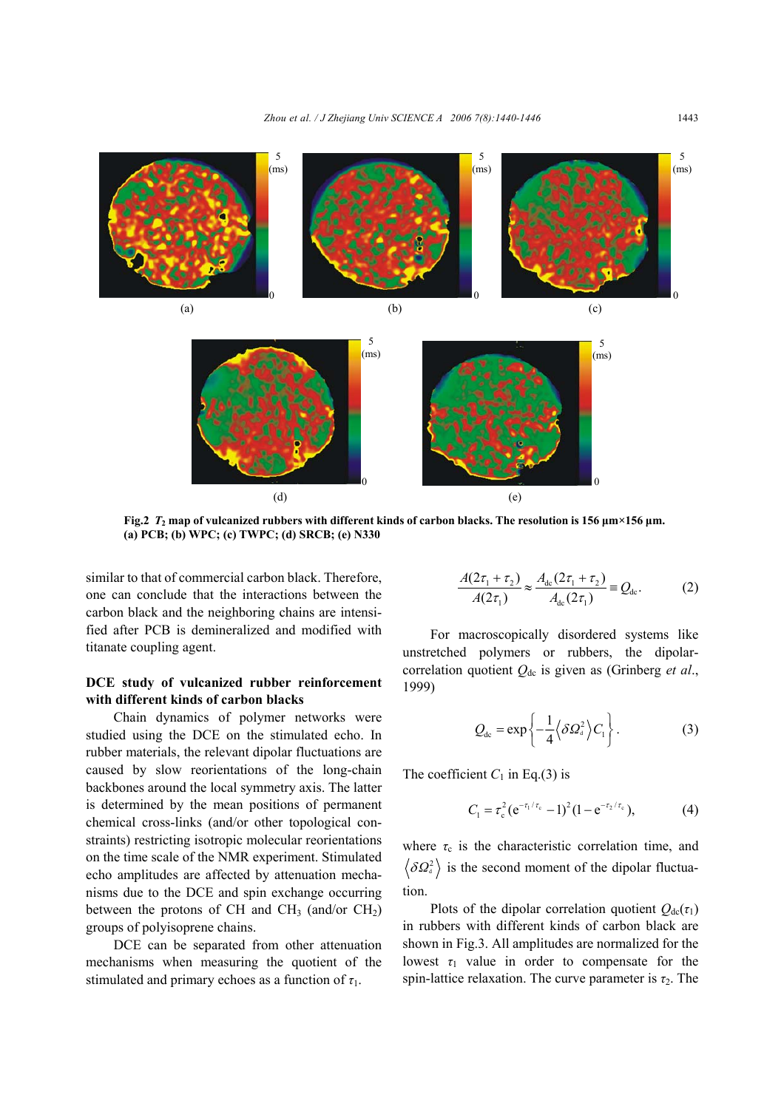

**Fig.2** *T***2 map of vulcanized rubbers with different kinds of carbon blacks. The resolution is 156 µm×156 µm. (a) PCB; (b) WPC; (c) TWPC; (d) SRCB; (e) N330**

similar to that of commercial carbon black. Therefore, one can conclude that the interactions between the carbon black and the neighboring chains are intensified after PCB is demineralized and modified with titanate coupling agent.

## **DCE study of vulcanized rubber reinforcement with different kinds of carbon blacks**

Chain dynamics of polymer networks were studied using the DCE on the stimulated echo. In rubber materials, the relevant dipolar fluctuations are caused by slow reorientations of the long-chain backbones around the local symmetry axis. The latter is determined by the mean positions of permanent chemical cross-links (and/or other topological constraints) restricting isotropic molecular reorientations on the time scale of the NMR experiment. Stimulated echo amplitudes are affected by attenuation mechanisms due to the DCE and spin exchange occurring between the protons of CH and CH<sub>3</sub> (and/or  $CH<sub>2</sub>$ ) groups of polyisoprene chains.

DCE can be separated from other attenuation mechanisms when measuring the quotient of the stimulated and primary echoes as a function of  $\tau_1$ .

$$
\frac{A(2\tau_1 + \tau_2)}{A(2\tau_1)} \approx \frac{A_{\rm dc}(2\tau_1 + \tau_2)}{A_{\rm dc}(2\tau_1)} \equiv Q_{\rm dc}.
$$
 (2)

For macroscopically disordered systems like unstretched polymers or rubbers, the dipolarcorrelation quotient *Q*dc is given as (Grinberg *et al*., 1999)

$$
Q_{\text{dc}} = \exp\left\{-\frac{1}{4}\left\langle \delta \varOmega_a^2 \right\rangle C_1\right\}.
$$
 (3)

The coefficient  $C_1$  in Eq.(3) is

$$
C_1 = \tau_c^2 (e^{-\tau_1/\tau_c} - 1)^2 (1 - e^{-\tau_2/\tau_c}), \qquad (4)
$$

where  $\tau_c$  is the characteristic correlation time, and  $\delta \Omega_{d}^{2}$  is the second moment of the dipolar fluctuation.

Plots of the dipolar correlation quotient  $Q_{dc}(\tau_1)$ in rubbers with different kinds of carbon black are shown in Fig.3. All amplitudes are normalized for the lowest  $\tau_1$  value in order to compensate for the spin-lattice relaxation. The curve parameter is  $\tau_2$ . The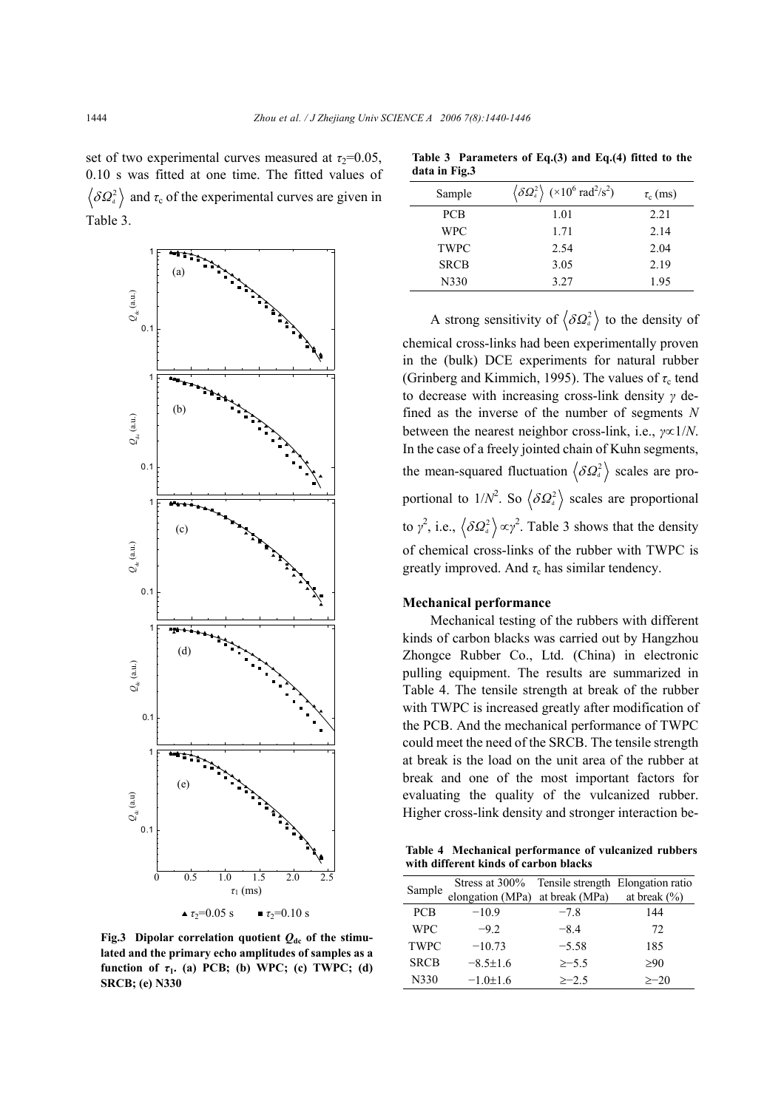set of two experimental curves measured at  $\tau_2$ =0.05, 0.10 s was fitted at one time. The fitted values of  $\delta \Omega_{d}^{2}$  and  $\tau_c$  of the experimental curves are given in Table 3.



**Fig.3** Dipolar correlation quotient  $Q_{dc}$  of the stimu**lated and the primary echo amplitudes of samples as a function of**  $\tau_1$ **.** (a) PCB; (b) WPC; (c) TWPC; (d) **SRCB; (e) N330** 

| data in Fig.3 |                                                                                          |               |
|---------------|------------------------------------------------------------------------------------------|---------------|
| Sample        | $\langle \delta \Omega_a^2 \rangle$ (×10 <sup>6</sup> rad <sup>2</sup> /s <sup>2</sup> ) | $\tau_c$ (ms) |
| <b>PCB</b>    | 1.01                                                                                     | 2.21          |
| <b>WPC</b>    | 1.71                                                                                     | 2.14          |
| <b>TWPC</b>   | 2.54                                                                                     | 2.04          |
| <b>SRCB</b>   | 3.05                                                                                     | 2.19          |
| N330          | 3.27                                                                                     | 1.95          |

**Table 3 Parameters of Eq.(3) and Eq.(4) fitted to the** 

A strong sensitivity of  $\langle \delta Q_a^2 \rangle$  to the density of chemical cross-links had been experimentally proven in the (bulk) DCE experiments for natural rubber (Grinberg and Kimmich, 1995). The values of  $\tau_c$  tend to decrease with increasing cross-link density *γ* defined as the inverse of the number of segments *N* between the nearest neighbor cross-link, i.e., *γ*∝1/*N*. In the case of a freely jointed chain of Kuhn segments, the mean-squared fluctuation  $\langle \delta Q_a^2 \rangle$  scales are proportional to  $1/N^2$ . So  $\langle \delta \Omega_a^2 \rangle$  scales are proportional to  $\gamma^2$ , i.e.,  $\langle \delta \Omega_a^2 \rangle \propto \gamma^2$ . Table 3 shows that the density of chemical cross-links of the rubber with TWPC is greatly improved. And  $\tau_c$  has similar tendency.

#### **Mechanical performance**

Mechanical testing of the rubbers with different kinds of carbon blacks was carried out by Hangzhou Zhongce Rubber Co., Ltd. (China) in electronic pulling equipment. The results are summarized in Table 4. The tensile strength at break of the rubber with TWPC is increased greatly after modification of the PCB. And the mechanical performance of TWPC could meet the need of the SRCB. The tensile strength at break is the load on the unit area of the rubber at break and one of the most important factors for evaluating the quality of the vulcanized rubber. Higher cross-link density and stronger interaction be-

**Table 4 Mechanical performance of vulcanized rubbers with different kinds of carbon blacks** 

| Sample      | Stress at 300%   |                | Tensile strength Elongation ratio |
|-------------|------------------|----------------|-----------------------------------|
|             | elongation (MPa) | at break (MPa) | at break $(\% )$                  |
| <b>PCB</b>  | $-10.9$          | $-7.8$         | 144                               |
| <b>WPC</b>  | $-92$            | $-8.4$         | 72                                |
| <b>TWPC</b> | $-10.73$         | $-5.58$        | 185                               |
| <b>SRCB</b> | $-8.5 \pm 1.6$   | $\ge -5.5$     | >90                               |
| N330        | $-1.0 \pm 1.6$   | $>-2.5$        | $>-20$                            |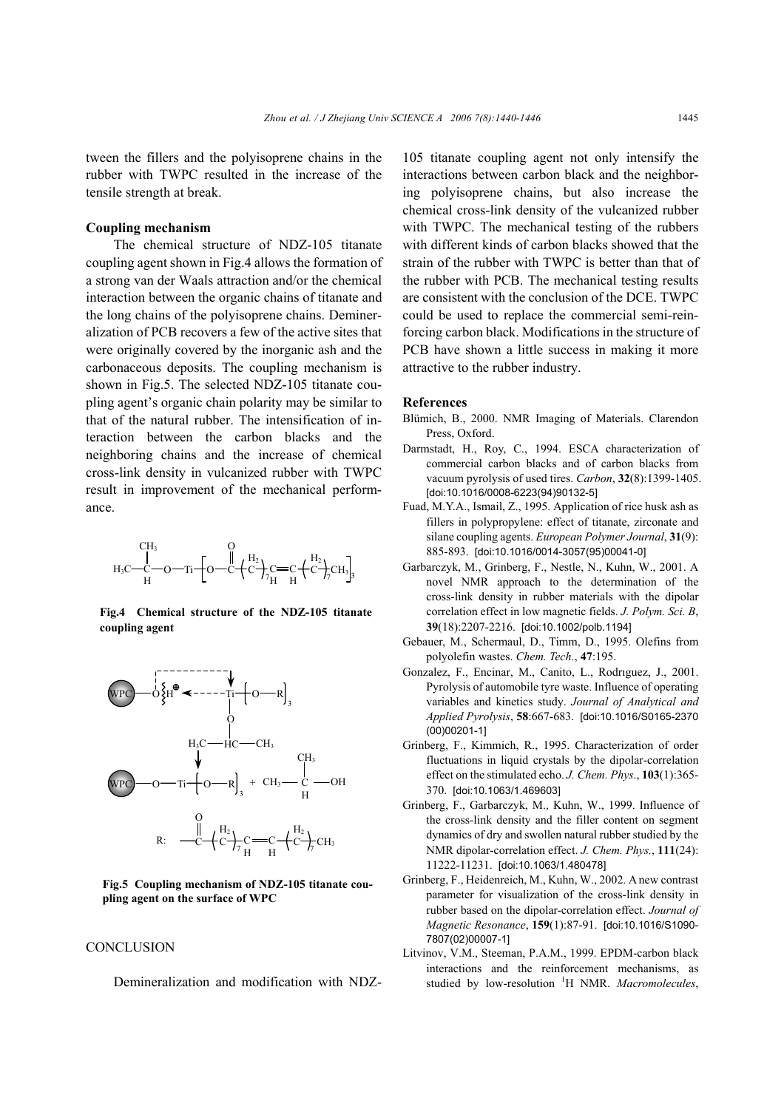tween the fillers and the polyisoprene chains in the rubber with TWPC resulted in the increase of the tensile strength at break.

## **Coupling mechanism**

The chemical structure of NDZ-105 titanate coupling agent shown in Fig.4 allows the formation of a strong van der Waals attraction and/or the chemical interaction between the organic chains of titanate and the long chains of the polyisoprene chains. Demineralization of PCB recovers a few of the active sites that were originally covered by the inorganic ash and the carbonaceous deposits. The coupling mechanism is shown in Fig.5. The selected NDZ-105 titanate coupling agent's organic chain polarity may be similar to that of the natural rubber. The intensification of interaction between the carbon blacks and the neighboring chains and the increase of chemical cross-link density in vulcanized rubber with TWPC result in improvement of the mechanical performance.



**Fig.4 Chemical structure of the NDZ-105 titanate coupling agent**



**Fig.5 Coupling mechanism of NDZ-105 titanate coupling agent on the surface of WPC**

#### **CONCLUSION**

Demineralization and modification with NDZ-

105 titanate coupling agent not only intensify the interactions between carbon black and the neighboring polyisoprene chains, but also increase the chemical cross-link density of the vulcanized rubber with TWPC. The mechanical testing of the rubbers with different kinds of carbon blacks showed that the strain of the rubber with TWPC is better than that of the rubber with PCB. The mechanical testing results are consistent with the conclusion of the DCE. TWPC could be used to replace the commercial semi-reinforcing carbon black. Modifications in the structure of PCB have shown a little success in making it more attractive to the rubber industry.

#### **References**

- Blümich, B., 2000. NMR Imaging of Materials. Clarendon Press, Oxford.
- Darmstadt, H., Roy, C., 1994. ESCA characterization of commercial carbon blacks and of carbon blacks from vacuum pyrolysis of used tires. *Carbon*, **32**(8):1399-1405. [doi:10.1016/0008-6223(94)90132-5]
- Fuad, M.Y.A., Ismail, Z., 1995. Application of rice husk ash as fillers in polypropylene: effect of titanate, zirconate and silane coupling agents. *European Polymer Journal*, **31**(9): 885-893. [doi:10.1016/0014-3057(95)00041-0]
- Garbarczyk, M., Grinberg, F., Nestle, N., Kuhn, W., 2001. A novel NMR approach to the determination of the cross-link density in rubber materials with the dipolar correlation effect in low magnetic fields. *J. Polym. Sci. B*, **39**(18):2207-2216. [doi:10.1002/polb.1194]
- Gebauer, M., Schermaul, D., Timm, D., 1995. Olefins from polyolefin wastes. *Chem. Tech.*, **47**:195.
- Gonzalez, F., Encinar, M., Canito, L., Rodrıguez, J., 2001. Pyrolysis of automobile tyre waste. Influence of operating variables and kinetics study. *Journal of Analytical and Applied Pyrolysis*, **58**:667-683. [doi:10.1016/S0165-2370 (00)00201-1]
- Grinberg, F., Kimmich, R., 1995. Characterization of order fluctuations in liquid crystals by the dipolar-correlation effect on the stimulated echo. *J. Chem. Phys*., **103**(1):365- 370. [doi:10.1063/1.469603]
- Grinberg, F., Garbarczyk, M., Kuhn, W., 1999. Influence of the cross-link density and the filler content on segment dynamics of dry and swollen natural rubber studied by the NMR dipolar-correlation effect. *J. Chem. Phys.*, **111**(24): 11222-11231. [doi:10.1063/1.480478]
- Grinberg, F., Heidenreich, M., Kuhn, W., 2002. A new contrast parameter for visualization of the cross-link density in rubber based on the dipolar-correlation effect. *Journal of Magnetic Resonance*, **159**(1):87-91. [doi:10.1016/S1090- 7807(02)00007-1]
- Litvinov, V.M., Steeman, P.A.M., 1999. EPDM-carbon black interactions and the reinforcement mechanisms, as studied by low-resolution <sup>1</sup> H NMR. *Macromolecules*,